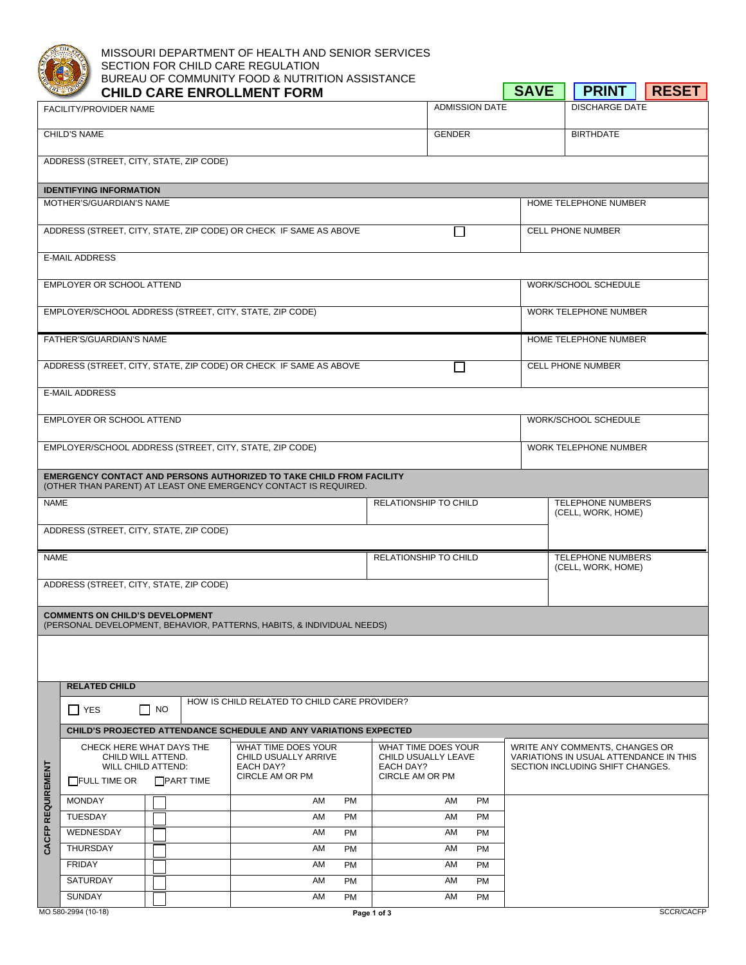

## MISSOURI DEPARTMENT OF HEALTH AND SENIOR SERVICES SECTION FOR CHILD CARE REGULATION BUREAU OF COMMUNITY FOOD & NUTRITION ASSISTANCE

|                                                                   | $H_x = 100$                                                                                                                 |  |                                                         | <b>CHILD CARE ENROLLMENT FORM</b>                                                                                                              |                        |                                                                                   |          |                        | <b>SAVE</b>                                                                | <b>PRINT</b>                                   | <b>RESET</b> |  |
|-------------------------------------------------------------------|-----------------------------------------------------------------------------------------------------------------------------|--|---------------------------------------------------------|------------------------------------------------------------------------------------------------------------------------------------------------|------------------------|-----------------------------------------------------------------------------------|----------|------------------------|----------------------------------------------------------------------------|------------------------------------------------|--------------|--|
|                                                                   | <b>FACILITY/PROVIDER NAME</b>                                                                                               |  |                                                         |                                                                                                                                                |                        |                                                                                   |          | <b>ADMISSION DATE</b>  |                                                                            | <b>DISCHARGE DATE</b>                          |              |  |
|                                                                   | CHILD'S NAME                                                                                                                |  |                                                         |                                                                                                                                                | <b>GENDER</b>          |                                                                                   |          |                        | <b>BIRTHDATE</b>                                                           |                                                |              |  |
|                                                                   | ADDRESS (STREET, CITY, STATE, ZIP CODE)                                                                                     |  |                                                         |                                                                                                                                                |                        |                                                                                   |          |                        |                                                                            |                                                |              |  |
|                                                                   | <b>IDENTIFYING INFORMATION</b>                                                                                              |  |                                                         |                                                                                                                                                |                        |                                                                                   |          |                        |                                                                            |                                                |              |  |
|                                                                   | MOTHER'S/GUARDIAN'S NAME                                                                                                    |  |                                                         |                                                                                                                                                |                        | HOME TELEPHONE NUMBER                                                             |          |                        |                                                                            |                                                |              |  |
| ADDRESS (STREET, CITY, STATE, ZIP CODE) OR CHECK IF SAME AS ABOVE |                                                                                                                             |  |                                                         |                                                                                                                                                |                        |                                                                                   |          |                        |                                                                            | <b>CELL PHONE NUMBER</b>                       |              |  |
|                                                                   | <b>E-MAIL ADDRESS</b>                                                                                                       |  |                                                         |                                                                                                                                                |                        |                                                                                   |          |                        |                                                                            |                                                |              |  |
|                                                                   | EMPLOYER OR SCHOOL ATTEND                                                                                                   |  |                                                         |                                                                                                                                                |                        | WORK/SCHOOL SCHEDULE                                                              |          |                        |                                                                            |                                                |              |  |
|                                                                   |                                                                                                                             |  | EMPLOYER/SCHOOL ADDRESS (STREET, CITY, STATE, ZIP CODE) |                                                                                                                                                |                        |                                                                                   |          |                        | WORK TELEPHONE NUMBER                                                      |                                                |              |  |
|                                                                   | FATHER'S/GUARDIAN'S NAME                                                                                                    |  |                                                         |                                                                                                                                                |                        |                                                                                   |          |                        |                                                                            | HOME TELEPHONE NUMBER                          |              |  |
|                                                                   |                                                                                                                             |  |                                                         | ADDRESS (STREET, CITY, STATE, ZIP CODE) OR CHECK IF SAME AS ABOVE                                                                              |                        |                                                                                   |          |                        |                                                                            | <b>CELL PHONE NUMBER</b>                       |              |  |
|                                                                   | <b>E-MAIL ADDRESS</b>                                                                                                       |  |                                                         |                                                                                                                                                |                        |                                                                                   |          |                        |                                                                            |                                                |              |  |
|                                                                   | EMPLOYER OR SCHOOL ATTEND                                                                                                   |  |                                                         |                                                                                                                                                |                        |                                                                                   |          |                        |                                                                            | <b>WORK/SCHOOL SCHEDULE</b>                    |              |  |
|                                                                   |                                                                                                                             |  |                                                         | EMPLOYER/SCHOOL ADDRESS (STREET, CITY, STATE, ZIP CODE)                                                                                        |                        |                                                                                   |          |                        |                                                                            | WORK TELEPHONE NUMBER                          |              |  |
|                                                                   |                                                                                                                             |  |                                                         |                                                                                                                                                |                        |                                                                                   |          |                        |                                                                            |                                                |              |  |
|                                                                   |                                                                                                                             |  |                                                         | <b>EMERGENCY CONTACT AND PERSONS AUTHORIZED TO TAKE CHILD FROM FACILITY</b><br>(OTHER THAN PARENT) AT LEAST ONE EMERGENCY CONTACT IS REQUIRED. |                        |                                                                                   |          |                        |                                                                            |                                                |              |  |
| <b>NAME</b>                                                       |                                                                                                                             |  |                                                         |                                                                                                                                                |                        | RELATIONSHIP TO CHILD                                                             |          |                        |                                                                            | <b>TELEPHONE NUMBERS</b><br>(CELL, WORK, HOME) |              |  |
|                                                                   | ADDRESS (STREET, CITY, STATE, ZIP CODE)                                                                                     |  |                                                         |                                                                                                                                                |                        |                                                                                   |          |                        |                                                                            |                                                |              |  |
| <b>NAME</b>                                                       |                                                                                                                             |  |                                                         |                                                                                                                                                |                        | <b>RELATIONSHIP TO CHILD</b>                                                      |          |                        |                                                                            | <b>TELEPHONE NUMBERS</b><br>(CELL, WORK, HOME) |              |  |
|                                                                   | ADDRESS (STREET, CITY, STATE, ZIP CODE)                                                                                     |  |                                                         |                                                                                                                                                |                        |                                                                                   |          |                        |                                                                            |                                                |              |  |
|                                                                   | <b>COMMENTS ON CHILD'S DEVELOPMENT</b>                                                                                      |  |                                                         |                                                                                                                                                |                        |                                                                                   |          |                        |                                                                            |                                                |              |  |
|                                                                   |                                                                                                                             |  |                                                         | (PERSONAL DEVELOPMENT, BEHAVIOR, PATTERNS, HABITS, & INDIVIDUAL NEEDS)                                                                         |                        |                                                                                   |          |                        |                                                                            |                                                |              |  |
|                                                                   |                                                                                                                             |  |                                                         |                                                                                                                                                |                        |                                                                                   |          |                        |                                                                            |                                                |              |  |
|                                                                   | <b>RELATED CHILD</b>                                                                                                        |  |                                                         |                                                                                                                                                |                        |                                                                                   |          |                        |                                                                            |                                                |              |  |
|                                                                   |                                                                                                                             |  |                                                         | HOW IS CHILD RELATED TO CHILD CARE PROVIDER?                                                                                                   |                        |                                                                                   |          |                        |                                                                            |                                                |              |  |
|                                                                   | NO.<br><b>YES</b>                                                                                                           |  |                                                         |                                                                                                                                                |                        |                                                                                   |          |                        |                                                                            |                                                |              |  |
|                                                                   | <b>CHILD'S PROJECTED ATTENDANCE SCHEDULE AND ANY VARIATIONS EXPECTED</b><br>WHAT TIME DOES YOUR<br>CHECK HERE WHAT DAYS THE |  |                                                         |                                                                                                                                                |                        |                                                                                   |          |                        |                                                                            | WRITE ANY COMMENTS, CHANGES OR                 |              |  |
|                                                                   | CHILD WILL ATTEND.<br><b>WILL CHILD ATTEND:</b>                                                                             |  |                                                         | CHILD USUALLY ARRIVE<br><b>EACH DAY?</b><br>CIRCLE AM OR PM                                                                                    |                        | WHAT TIME DOES YOUR<br>CHILD USUALLY LEAVE<br><b>EACH DAY?</b><br>CIRCLE AM OR PM |          |                        | VARIATIONS IN USUAL ATTENDANCE IN THIS<br>SECTION INCLUDING SHIFT CHANGES. |                                                |              |  |
| CACFP REQUIREMENT                                                 | <b>TFULL TIME OR</b>                                                                                                        |  | <b>PART TIME</b>                                        |                                                                                                                                                |                        |                                                                                   |          |                        |                                                                            |                                                |              |  |
|                                                                   | <b>MONDAY</b>                                                                                                               |  |                                                         | AM                                                                                                                                             | <b>PM</b>              |                                                                                   | AM       | <b>PM</b>              |                                                                            |                                                |              |  |
|                                                                   | <b>TUESDAY</b>                                                                                                              |  |                                                         | AM                                                                                                                                             | <b>PM</b>              |                                                                                   | AM       | <b>PM</b>              |                                                                            |                                                |              |  |
|                                                                   | WEDNESDAY                                                                                                                   |  |                                                         | AM                                                                                                                                             | <b>PM</b>              |                                                                                   | AM       | <b>PM</b>              |                                                                            |                                                |              |  |
|                                                                   | <b>THURSDAY</b><br><b>FRIDAY</b>                                                                                            |  |                                                         | AM                                                                                                                                             | <b>PM</b>              |                                                                                   | AM       | <b>PM</b>              |                                                                            |                                                |              |  |
|                                                                   | SATURDAY                                                                                                                    |  |                                                         | AM<br>AM                                                                                                                                       | <b>PM</b><br><b>PM</b> |                                                                                   | AM<br>AM | <b>PM</b><br><b>PM</b> |                                                                            |                                                |              |  |
|                                                                   | <b>SUNDAY</b>                                                                                                               |  |                                                         | AM                                                                                                                                             | <b>PM</b>              |                                                                                   | AM       | <b>PM</b>              |                                                                            |                                                |              |  |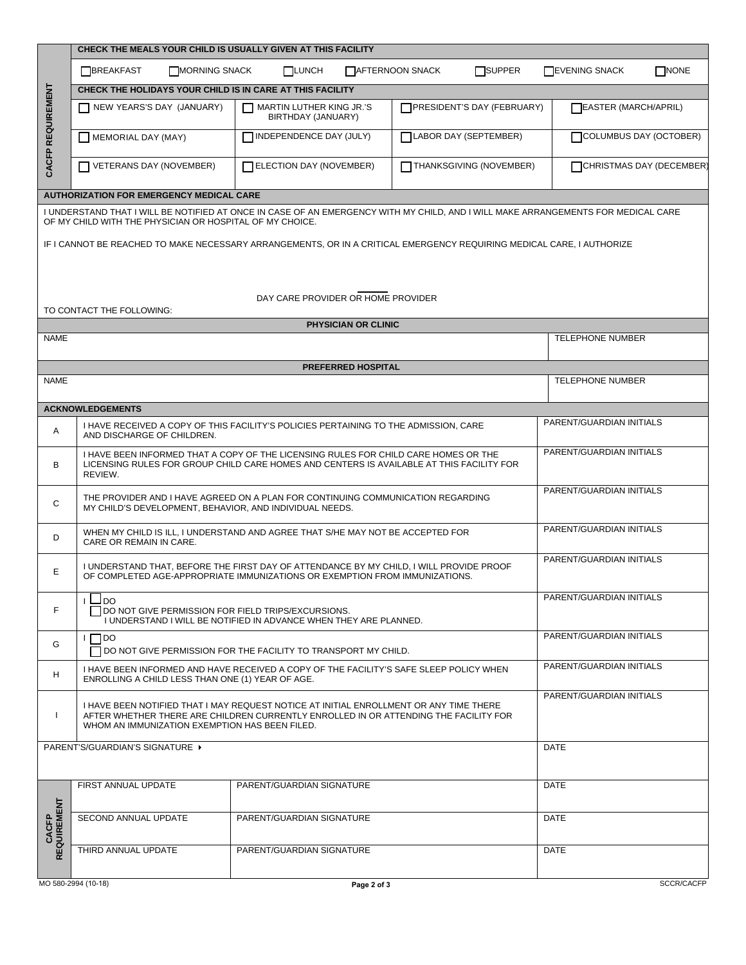|                                                                                                                                                                                               | CHECK THE MEALS YOUR CHILD IS USUALLY GIVEN AT THIS FACILITY                                                                                                                                                                     |                                                       |                           |                          |                            |                         |                          |  |  |  |  |
|-----------------------------------------------------------------------------------------------------------------------------------------------------------------------------------------------|----------------------------------------------------------------------------------------------------------------------------------------------------------------------------------------------------------------------------------|-------------------------------------------------------|---------------------------|--------------------------|----------------------------|-------------------------|--------------------------|--|--|--|--|
|                                                                                                                                                                                               | <b>NBREAKFAST</b><br>MORNING SNACK                                                                                                                                                                                               | □SUPPER                                               | <b>FIEVENING SNACK</b>    | NONE                     |                            |                         |                          |  |  |  |  |
|                                                                                                                                                                                               | CHECK THE HOLIDAYS YOUR CHILD IS IN CARE AT THIS FACILITY                                                                                                                                                                        |                                                       |                           |                          |                            |                         |                          |  |  |  |  |
| <b>CACFP REQUIREMENT</b>                                                                                                                                                                      | NEW YEARS'S DAY (JANUARY)                                                                                                                                                                                                        | $\Box$ MARTIN LUTHER KING JR.'S<br>BIRTHDAY (JANUARY) |                           |                          | PRESIDENT'S DAY (FEBRUARY) |                         | EASTER (MARCH/APRIL)     |  |  |  |  |
|                                                                                                                                                                                               | MEMORIAL DAY (MAY)                                                                                                                                                                                                               | INDEPENDENCE DAY (JULY)                               |                           | LABOR DAY (SEPTEMBER)    |                            |                         | COLUMBUS DAY (OCTOBER)   |  |  |  |  |
|                                                                                                                                                                                               | VETERANS DAY (NOVEMBER)                                                                                                                                                                                                          | ELECTION DAY (NOVEMBER)                               |                           |                          | THANKSGIVING (NOVEMBER)    |                         | CHRISTMAS DAY (DECEMBER) |  |  |  |  |
| <b>AUTHORIZATION FOR EMERGENCY MEDICAL CARE</b>                                                                                                                                               |                                                                                                                                                                                                                                  |                                                       |                           |                          |                            |                         |                          |  |  |  |  |
| I UNDERSTAND THAT I WILL BE NOTIFIED AT ONCE IN CASE OF AN EMERGENCY WITH MY CHILD, AND I WILL MAKE ARRANGEMENTS FOR MEDICAL CARE<br>OF MY CHILD WITH THE PHYSICIAN OR HOSPITAL OF MY CHOICE. |                                                                                                                                                                                                                                  |                                                       |                           |                          |                            |                         |                          |  |  |  |  |
|                                                                                                                                                                                               | IF I CANNOT BE REACHED TO MAKE NECESSARY ARRANGEMENTS, OR IN A CRITICAL EMERGENCY REQUIRING MEDICAL CARE. I AUTHORIZE                                                                                                            |                                                       |                           |                          |                            |                         |                          |  |  |  |  |
|                                                                                                                                                                                               |                                                                                                                                                                                                                                  |                                                       |                           |                          |                            |                         |                          |  |  |  |  |
|                                                                                                                                                                                               |                                                                                                                                                                                                                                  |                                                       |                           |                          |                            |                         |                          |  |  |  |  |
|                                                                                                                                                                                               | TO CONTACT THE FOLLOWING:                                                                                                                                                                                                        | DAY CARE PROVIDER OR HOME PROVIDER                    |                           |                          |                            |                         |                          |  |  |  |  |
|                                                                                                                                                                                               |                                                                                                                                                                                                                                  |                                                       | PHYSICIAN OR CLINIC       |                          |                            |                         |                          |  |  |  |  |
| <b>NAME</b>                                                                                                                                                                                   |                                                                                                                                                                                                                                  |                                                       |                           |                          |                            | <b>TELEPHONE NUMBER</b> |                          |  |  |  |  |
|                                                                                                                                                                                               |                                                                                                                                                                                                                                  |                                                       | <b>PREFERRED HOSPITAL</b> |                          |                            |                         |                          |  |  |  |  |
| <b>NAME</b>                                                                                                                                                                                   |                                                                                                                                                                                                                                  |                                                       |                           |                          |                            | <b>TELEPHONE NUMBER</b> |                          |  |  |  |  |
|                                                                                                                                                                                               |                                                                                                                                                                                                                                  |                                                       |                           |                          |                            |                         |                          |  |  |  |  |
|                                                                                                                                                                                               | <b>ACKNOWLEDGEMENTS</b>                                                                                                                                                                                                          |                                                       |                           |                          |                            |                         |                          |  |  |  |  |
| Α                                                                                                                                                                                             | I HAVE RECEIVED A COPY OF THIS FACILITY'S POLICIES PERTAINING TO THE ADMISSION, CARE<br>AND DISCHARGE OF CHILDREN.                                                                                                               |                                                       | PARENT/GUARDIAN INITIALS  |                          |                            |                         |                          |  |  |  |  |
| B                                                                                                                                                                                             | I HAVE BEEN INFORMED THAT A COPY OF THE LICENSING RULES FOR CHILD CARE HOMES OR THE<br>LICENSING RULES FOR GROUP CHILD CARE HOMES AND CENTERS IS AVAILABLE AT THIS FACILITY FOR<br>REVIEW.                                       |                                                       |                           | PARENT/GUARDIAN INITIALS |                            |                         |                          |  |  |  |  |
| C                                                                                                                                                                                             | THE PROVIDER AND I HAVE AGREED ON A PLAN FOR CONTINUING COMMUNICATION REGARDING<br>MY CHILD'S DEVELOPMENT, BEHAVIOR, AND INDIVIDUAL NEEDS.                                                                                       |                                                       | PARENT/GUARDIAN INITIALS  |                          |                            |                         |                          |  |  |  |  |
| D                                                                                                                                                                                             | WHEN MY CHILD IS ILL, I UNDERSTAND AND AGREE THAT S/HE MAY NOT BE ACCEPTED FOR<br>CARE OR REMAIN IN CARE.                                                                                                                        |                                                       | PARENT/GUARDIAN INITIALS  |                          |                            |                         |                          |  |  |  |  |
| Е                                                                                                                                                                                             | I UNDERSTAND THAT, BEFORE THE FIRST DAY OF ATTENDANCE BY MY CHILD, I WILL PROVIDE PROOF<br>OF COMPLETED AGE-APPROPRIATE IMMUNIZATIONS OR EXEMPTION FROM IMMUNIZATIONS.                                                           |                                                       | PARENT/GUARDIAN INITIALS  |                          |                            |                         |                          |  |  |  |  |
| F                                                                                                                                                                                             | ı ∟bo<br>DO NOT GIVE PERMISSION FOR FIELD TRIPS/EXCURSIONS.                                                                                                                                                                      | PARENT/GUARDIAN INITIALS                              |                           |                          |                            |                         |                          |  |  |  |  |
|                                                                                                                                                                                               | I UNDERSTAND I WILL BE NOTIFIED IN ADVANCE WHEN THEY ARE PLANNED.                                                                                                                                                                |                                                       |                           |                          |                            |                         |                          |  |  |  |  |
| G                                                                                                                                                                                             | $\Box$ DO<br>DO NOT GIVE PERMISSION FOR THE FACILITY TO TRANSPORT MY CHILD.                                                                                                                                                      |                                                       | PARENT/GUARDIAN INITIALS  |                          |                            |                         |                          |  |  |  |  |
| н                                                                                                                                                                                             | I HAVE BEEN INFORMED AND HAVE RECEIVED A COPY OF THE FACILITY'S SAFE SLEEP POLICY WHEN<br>ENROLLING A CHILD LESS THAN ONE (1) YEAR OF AGE.                                                                                       |                                                       | PARENT/GUARDIAN INITIALS  |                          |                            |                         |                          |  |  |  |  |
| ı                                                                                                                                                                                             | I HAVE BEEN NOTIFIED THAT I MAY REQUEST NOTICE AT INITIAL ENROLLMENT OR ANY TIME THERE<br>AFTER WHETHER THERE ARE CHILDREN CURRENTLY ENROLLED IN OR ATTENDING THE FACILITY FOR<br>WHOM AN IMMUNIZATION EXEMPTION HAS BEEN FILED. |                                                       | PARENT/GUARDIAN INITIALS  |                          |                            |                         |                          |  |  |  |  |
|                                                                                                                                                                                               | PARENT'S/GUARDIAN'S SIGNATURE ▶                                                                                                                                                                                                  |                                                       | <b>DATE</b>               |                          |                            |                         |                          |  |  |  |  |
|                                                                                                                                                                                               | FIRST ANNUAL UPDATE                                                                                                                                                                                                              | PARENT/GUARDIAN SIGNATURE                             |                           |                          |                            | <b>DATE</b>             |                          |  |  |  |  |
| <b>CACFP<br/>REQUIREMENT</b>                                                                                                                                                                  | SECOND ANNUAL UPDATE                                                                                                                                                                                                             | PARENT/GUARDIAN SIGNATURE                             |                           |                          |                            | DATE                    |                          |  |  |  |  |
|                                                                                                                                                                                               | THIRD ANNUAL UPDATE                                                                                                                                                                                                              | PARENT/GUARDIAN SIGNATURE                             |                           |                          | <b>DATE</b>                |                         |                          |  |  |  |  |
|                                                                                                                                                                                               | MO 580-2994 (10-18)                                                                                                                                                                                                              |                                                       | Page 2 of 3               |                          |                            |                         | SCCR/CACFP               |  |  |  |  |